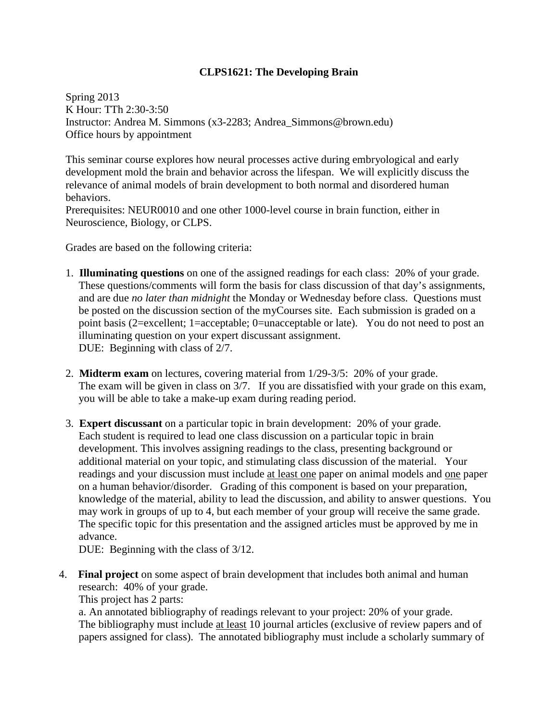## **CLPS1621: The Developing Brain**

Spring 2013 K Hour: TTh 2:30-3:50 Instructor: Andrea M. Simmons (x3-2283; Andrea\_Simmons@brown.edu) Office hours by appointment

This seminar course explores how neural processes active during embryological and early development mold the brain and behavior across the lifespan. We will explicitly discuss the relevance of animal models of brain development to both normal and disordered human behaviors.

Prerequisites: NEUR0010 and one other 1000-level course in brain function, either in Neuroscience, Biology, or CLPS.

Grades are based on the following criteria:

- 1. **Illuminating questions** on one of the assigned readings for each class: 20% of your grade. These questions/comments will form the basis for class discussion of that day's assignments, and are due *no later than midnight* the Monday or Wednesday before class. Questions must be posted on the discussion section of the myCourses site. Each submission is graded on a point basis (2=excellent; 1=acceptable; 0=unacceptable or late). You do not need to post an illuminating question on your expert discussant assignment. DUE: Beginning with class of 2/7.
- 2. **Midterm exam** on lectures, covering material from 1/29-3/5: 20% of your grade. The exam will be given in class on 3/7. If you are dissatisfied with your grade on this exam, you will be able to take a make-up exam during reading period.
- 3. **Expert discussant** on a particular topic in brain development: 20% of your grade. Each student is required to lead one class discussion on a particular topic in brain development. This involves assigning readings to the class, presenting background or additional material on your topic, and stimulating class discussion of the material. Your readings and your discussion must include at least one paper on animal models and one paper on a human behavior/disorder. Grading of this component is based on your preparation, knowledge of the material, ability to lead the discussion, and ability to answer questions. You may work in groups of up to 4, but each member of your group will receive the same grade. The specific topic for this presentation and the assigned articles must be approved by me in advance.

DUE: Beginning with the class of 3/12.

4. **Final project** on some aspect of brain development that includes both animal and human research: 40% of your grade.

This project has 2 parts:

a. An annotated bibliography of readings relevant to your project: 20% of your grade. The bibliography must include at least 10 journal articles (exclusive of review papers and of papers assigned for class). The annotated bibliography must include a scholarly summary of